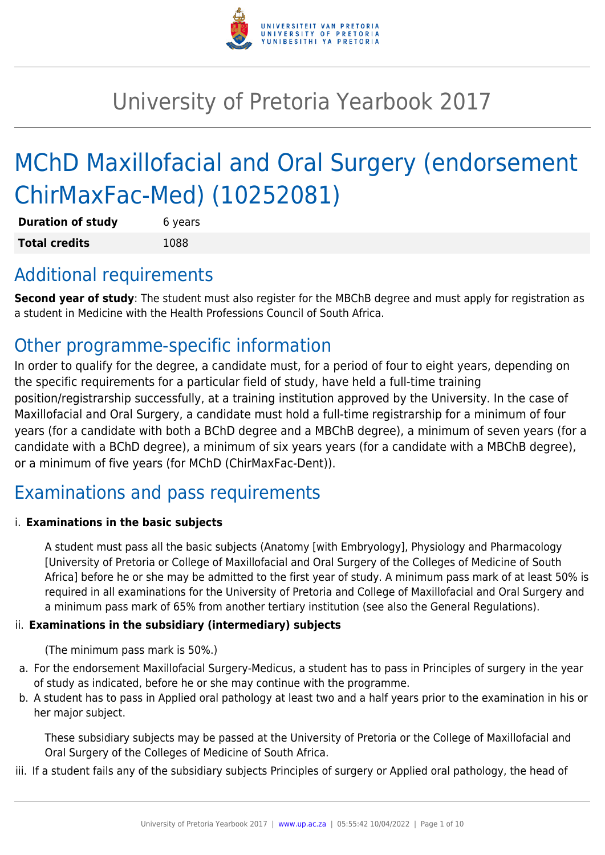

# University of Pretoria Yearbook 2017

# MChD Maxillofacial and Oral Surgery (endorsement ChirMaxFac-Med) (10252081)

| <b>Duration of study</b> | 6 years |
|--------------------------|---------|
| <b>Total credits</b>     | 1088    |

## Additional requirements

**Second year of study**: The student must also register for the MBChB degree and must apply for registration as a student in Medicine with the Health Professions Council of South Africa.

## Other programme-specific information

In order to qualify for the degree, a candidate must, for a period of four to eight years, depending on the specific requirements for a particular field of study, have held a full-time training position/registrarship successfully, at a training institution approved by the University. In the case of Maxillofacial and Oral Surgery, a candidate must hold a full-time registrarship for a minimum of four years (for a candidate with both a BChD degree and a MBChB degree), a minimum of seven years (for a candidate with a BChD degree), a minimum of six years years (for a candidate with a MBChB degree), or a minimum of five years (for MChD (ChirMaxFac-Dent)).

# Examinations and pass requirements

#### i. **Examinations in the basic subjects**

A student must pass all the basic subjects (Anatomy [with Embryology], Physiology and Pharmacology [University of Pretoria or College of Maxillofacial and Oral Surgery of the Colleges of Medicine of South Africa] before he or she may be admitted to the first year of study. A minimum pass mark of at least 50% is required in all examinations for the University of Pretoria and College of Maxillofacial and Oral Surgery and a minimum pass mark of 65% from another tertiary institution (see also the General Regulations).

#### ii. **Examinations in the subsidiary (intermediary) subjects**

(The minimum pass mark is 50%.)

- a. For the endorsement Maxillofacial Surgery-Medicus, a student has to pass in Principles of surgery in the year of study as indicated, before he or she may continue with the programme.
- b. A student has to pass in Applied oral pathology at least two and a half years prior to the examination in his or her major subject.

These subsidiary subjects may be passed at the University of Pretoria or the College of Maxillofacial and Oral Surgery of the Colleges of Medicine of South Africa.

iii. If a student fails any of the subsidiary subjects Principles of surgery or Applied oral pathology, the head of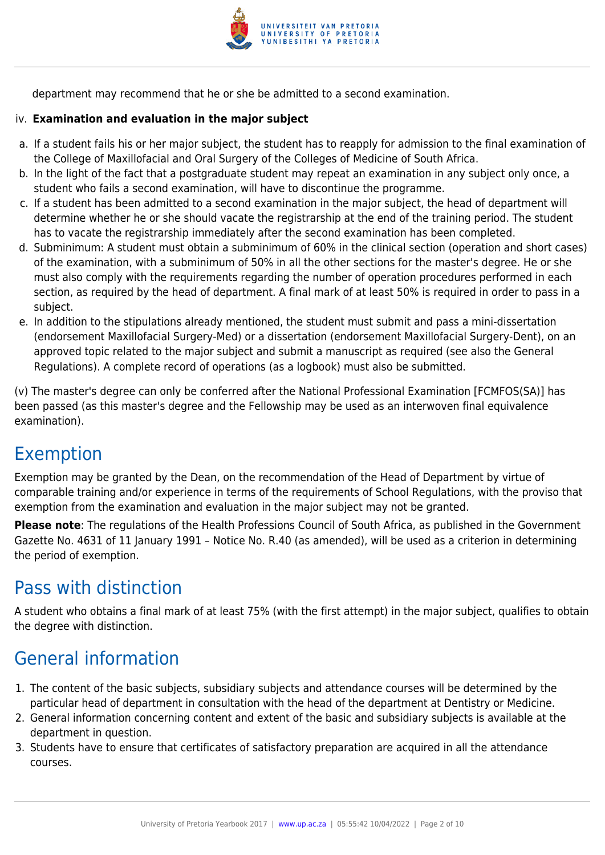

department may recommend that he or she be admitted to a second examination.

#### iv. **Examination and evaluation in the major subject**

- a. If a student fails his or her major subject, the student has to reapply for admission to the final examination of the College of Maxillofacial and Oral Surgery of the Colleges of Medicine of South Africa.
- b. In the light of the fact that a postgraduate student may repeat an examination in any subject only once, a student who fails a second examination, will have to discontinue the programme.
- c. If a student has been admitted to a second examination in the major subject, the head of department will determine whether he or she should vacate the registrarship at the end of the training period. The student has to vacate the registrarship immediately after the second examination has been completed.
- d. Subminimum: A student must obtain a subminimum of 60% in the clinical section (operation and short cases) of the examination, with a subminimum of 50% in all the other sections for the master's degree. He or she must also comply with the requirements regarding the number of operation procedures performed in each section, as required by the head of department. A final mark of at least 50% is required in order to pass in a subject.
- e. In addition to the stipulations already mentioned, the student must submit and pass a mini-dissertation (endorsement Maxillofacial Surgery-Med) or a dissertation (endorsement Maxillofacial Surgery-Dent), on an approved topic related to the major subject and submit a manuscript as required (see also the General Regulations). A complete record of operations (as a logbook) must also be submitted.

(v) The master's degree can only be conferred after the National Professional Examination [FCMFOS(SA)] has been passed (as this master's degree and the Fellowship may be used as an interwoven final equivalence examination).

### Exemption

Exemption may be granted by the Dean, on the recommendation of the Head of Department by virtue of comparable training and/or experience in terms of the requirements of School Regulations, with the proviso that exemption from the examination and evaluation in the major subject may not be granted.

**Please note**: The regulations of the Health Professions Council of South Africa, as published in the Government Gazette No. 4631 of 11 January 1991 – Notice No. R.40 (as amended), will be used as a criterion in determining the period of exemption.

## Pass with distinction

A student who obtains a final mark of at least 75% (with the first attempt) in the major subject, qualifies to obtain the degree with distinction.

# General information

- 1. The content of the basic subjects, subsidiary subjects and attendance courses will be determined by the particular head of department in consultation with the head of the department at Dentistry or Medicine.
- 2. General information concerning content and extent of the basic and subsidiary subjects is available at the department in question.
- 3. Students have to ensure that certificates of satisfactory preparation are acquired in all the attendance courses.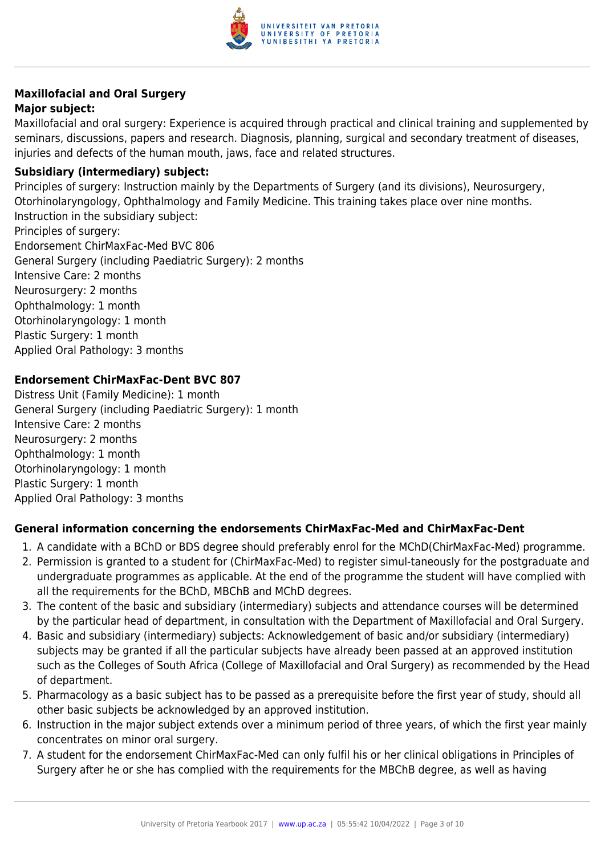

## **Maxillofacial and Oral Surgery**

#### **Major subject:**

Maxillofacial and oral surgery: Experience is acquired through practical and clinical training and supplemented by seminars, discussions, papers and research. Diagnosis, planning, surgical and secondary treatment of diseases, injuries and defects of the human mouth, jaws, face and related structures.

#### **Subsidiary (intermediary) subject:**

Principles of surgery: Instruction mainly by the Departments of Surgery (and its divisions), Neurosurgery, Otorhinolaryngology, Ophthalmology and Family Medicine. This training takes place over nine months. Instruction in the subsidiary subject: Principles of surgery: Endorsement ChirMaxFac-Med BVC 806 General Surgery (including Paediatric Surgery): 2 months Intensive Care: 2 months Neurosurgery: 2 months Ophthalmology: 1 month Otorhinolaryngology: 1 month Plastic Surgery: 1 month Applied Oral Pathology: 3 months

#### **Endorsement ChirMaxFac-Dent BVC 807**

Distress Unit (Family Medicine): 1 month General Surgery (including Paediatric Surgery): 1 month Intensive Care: 2 months Neurosurgery: 2 months Ophthalmology: 1 month Otorhinolaryngology: 1 month Plastic Surgery: 1 month Applied Oral Pathology: 3 months

#### **General information concerning the endorsements ChirMaxFac-Med and ChirMaxFac-Dent**

- 1. A candidate with a BChD or BDS degree should preferably enrol for the MChD(ChirMaxFac-Med) programme.
- 2. Permission is granted to a student for (ChirMaxFac-Med) to register simul-taneously for the postgraduate and undergraduate programmes as applicable. At the end of the programme the student will have complied with all the requirements for the BChD, MBChB and MChD degrees.
- 3. The content of the basic and subsidiary (intermediary) subjects and attendance courses will be determined by the particular head of department, in consultation with the Department of Maxillofacial and Oral Surgery.
- 4. Basic and subsidiary (intermediary) subjects: Acknowledgement of basic and/or subsidiary (intermediary) subjects may be granted if all the particular subjects have already been passed at an approved institution such as the Colleges of South Africa (College of Maxillofacial and Oral Surgery) as recommended by the Head of department.
- 5. Pharmacology as a basic subject has to be passed as a prerequisite before the first year of study, should all other basic subjects be acknowledged by an approved institution.
- 6. Instruction in the major subject extends over a minimum period of three years, of which the first year mainly concentrates on minor oral surgery.
- 7. A student for the endorsement ChirMaxFac-Med can only fulfil his or her clinical obligations in Principles of Surgery after he or she has complied with the requirements for the MBChB degree, as well as having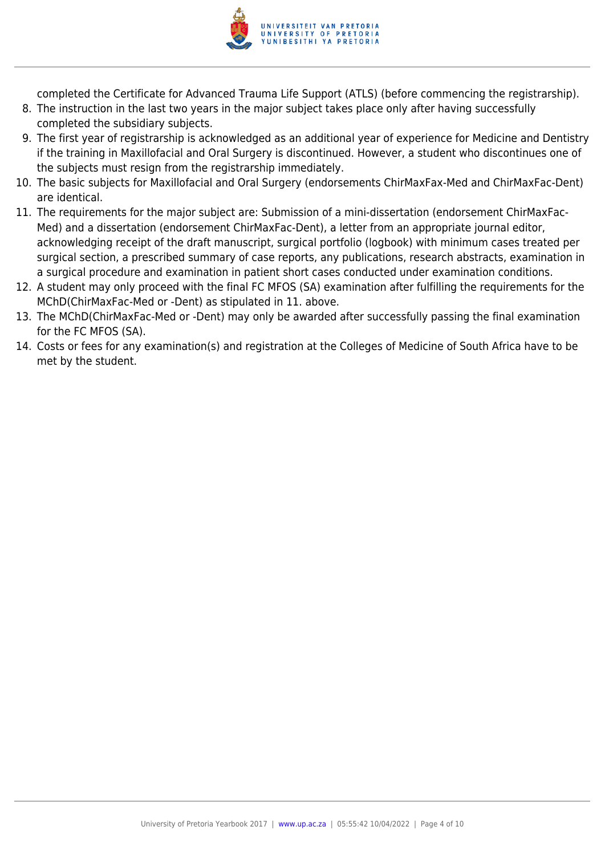

completed the Certificate for Advanced Trauma Life Support (ATLS) (before commencing the registrarship).

- 8. The instruction in the last two years in the major subject takes place only after having successfully completed the subsidiary subjects.
- 9. The first year of registrarship is acknowledged as an additional year of experience for Medicine and Dentistry if the training in Maxillofacial and Oral Surgery is discontinued. However, a student who discontinues one of the subjects must resign from the registrarship immediately.
- 10. The basic subjects for Maxillofacial and Oral Surgery (endorsements ChirMaxFax-Med and ChirMaxFac-Dent) are identical.
- 11. The requirements for the major subject are: Submission of a mini-dissertation (endorsement ChirMaxFac-Med) and a dissertation (endorsement ChirMaxFac-Dent), a letter from an appropriate journal editor, acknowledging receipt of the draft manuscript, surgical portfolio (logbook) with minimum cases treated per surgical section, a prescribed summary of case reports, any publications, research abstracts, examination in a surgical procedure and examination in patient short cases conducted under examination conditions.
- 12. A student may only proceed with the final FC MFOS (SA) examination after fulfilling the requirements for the MChD(ChirMaxFac-Med or -Dent) as stipulated in 11. above.
- 13. The MChD(ChirMaxFac-Med or -Dent) may only be awarded after successfully passing the final examination for the FC MFOS (SA).
- 14. Costs or fees for any examination(s) and registration at the Colleges of Medicine of South Africa have to be met by the student.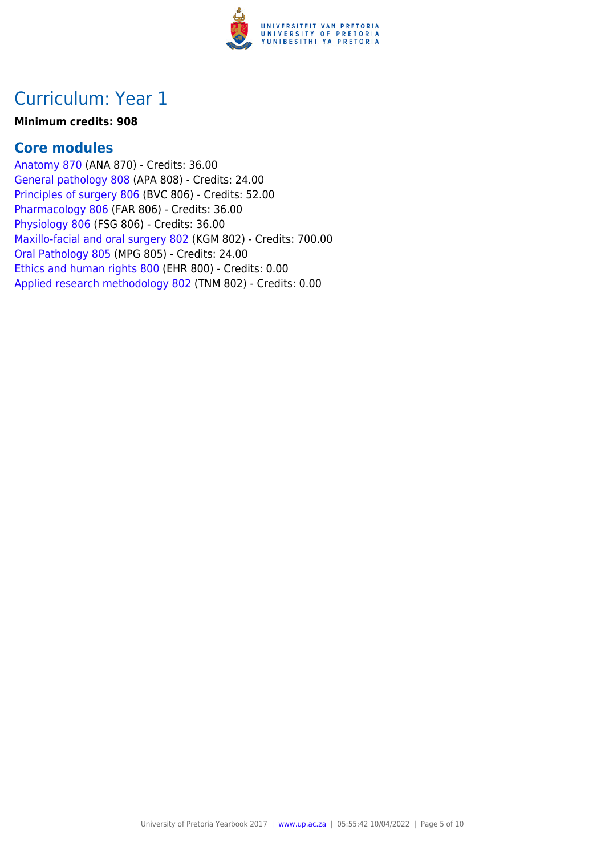

#### **Minimum credits: 908**

### **Core modules**

[Anatomy 870](https://www.up.ac.za/faculty-of-education/yearbooks/2017/modules/view/ANA 870) (ANA 870) - Credits: 36.00 [General pathology 808](https://www.up.ac.za/faculty-of-education/yearbooks/2017/modules/view/APA 808) (APA 808) - Credits: 24.00 [Principles of surgery 806](https://www.up.ac.za/faculty-of-education/yearbooks/2017/modules/view/BVC 806) (BVC 806) - Credits: 52.00 [Pharmacology 806](https://www.up.ac.za/faculty-of-education/yearbooks/2017/modules/view/FAR 806) (FAR 806) - Credits: 36.00 [Physiology 806](https://www.up.ac.za/faculty-of-education/yearbooks/2017/modules/view/FSG 806) (FSG 806) - Credits: 36.00 [Maxillo-facial and oral surgery 802](https://www.up.ac.za/faculty-of-education/yearbooks/2017/modules/view/KGM 802) (KGM 802) - Credits: 700.00 [Oral Pathology 805](https://www.up.ac.za/faculty-of-education/yearbooks/2017/modules/view/MPG 805) (MPG 805) - Credits: 24.00 [Ethics and human rights 800](https://www.up.ac.za/faculty-of-education/yearbooks/2017/modules/view/EHR 800) (EHR 800) - Credits: 0.00 [Applied research methodology 802](https://www.up.ac.za/faculty-of-education/yearbooks/2017/modules/view/TNM 802) (TNM 802) - Credits: 0.00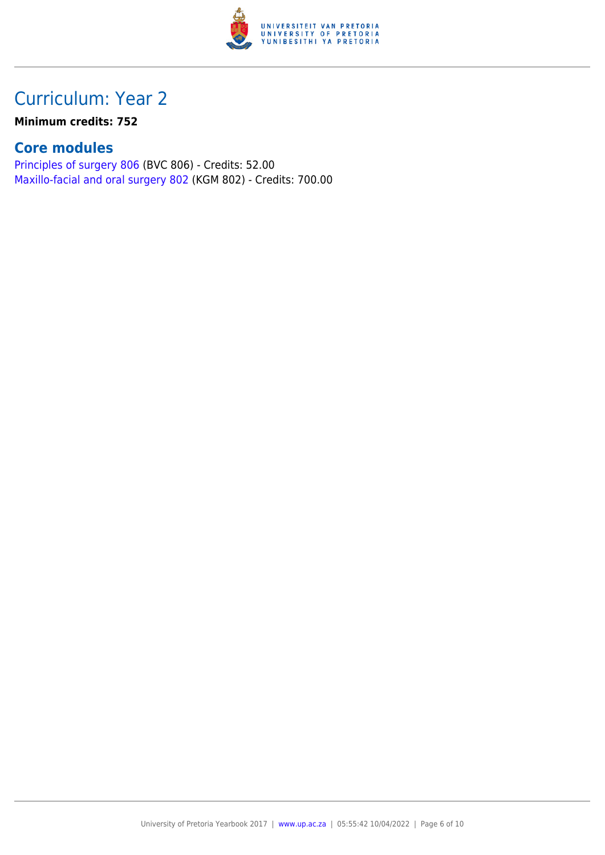

#### **Minimum credits: 752**

### **Core modules**

[Principles of surgery 806](https://www.up.ac.za/faculty-of-education/yearbooks/2017/modules/view/BVC 806) (BVC 806) - Credits: 52.00 [Maxillo-facial and oral surgery 802](https://www.up.ac.za/faculty-of-education/yearbooks/2017/modules/view/KGM 802) (KGM 802) - Credits: 700.00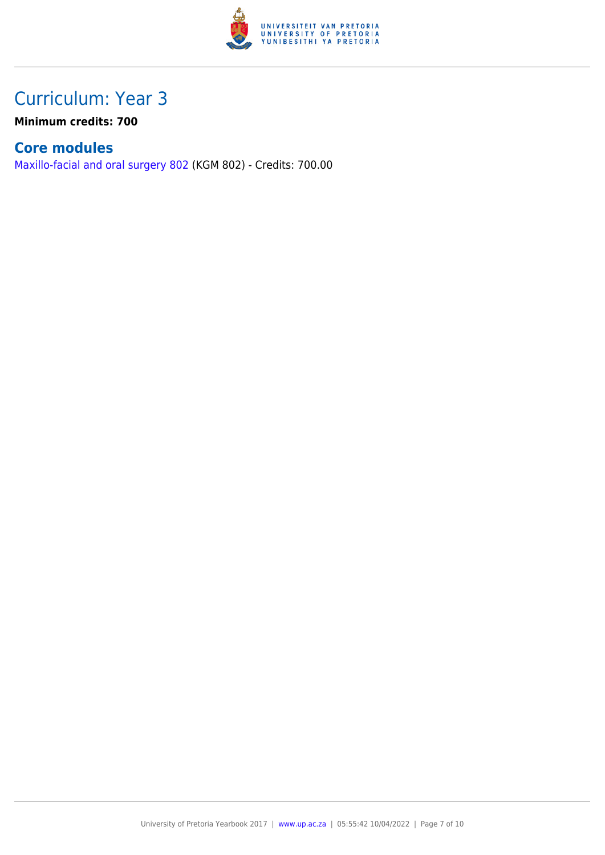

**Minimum credits: 700**

### **Core modules**

[Maxillo-facial and oral surgery 802](https://www.up.ac.za/faculty-of-education/yearbooks/2017/modules/view/KGM 802) (KGM 802) - Credits: 700.00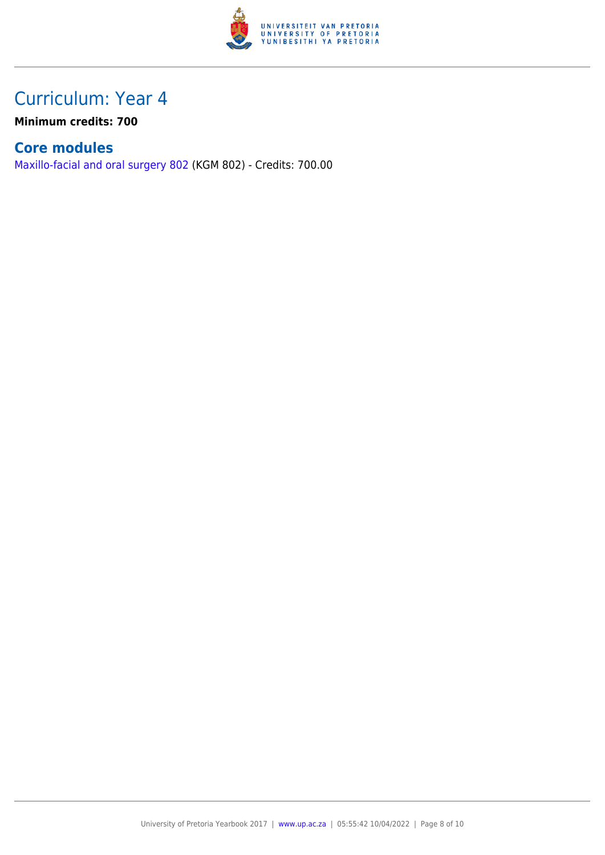

**Minimum credits: 700**

### **Core modules**

[Maxillo-facial and oral surgery 802](https://www.up.ac.za/faculty-of-education/yearbooks/2017/modules/view/KGM 802) (KGM 802) - Credits: 700.00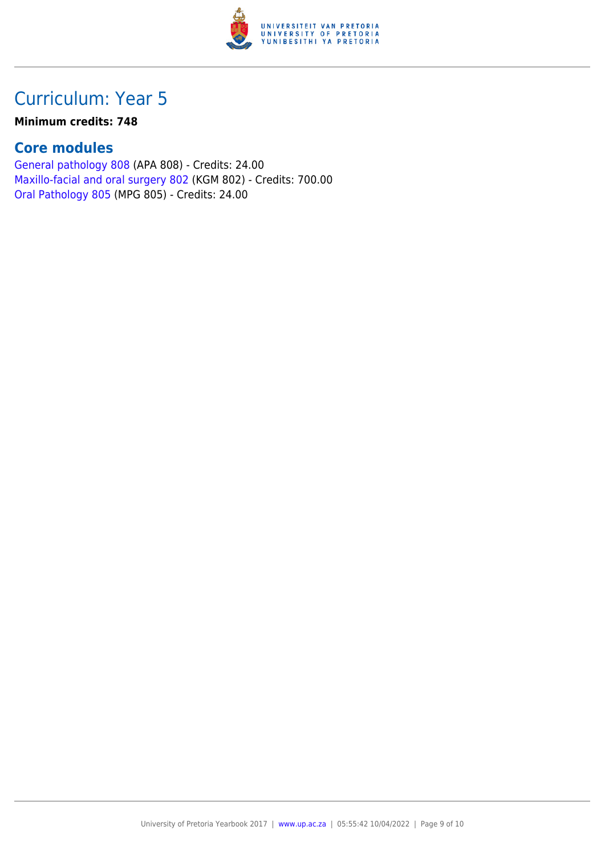

#### **Minimum credits: 748**

### **Core modules**

[General pathology 808](https://www.up.ac.za/faculty-of-education/yearbooks/2017/modules/view/APA 808) (APA 808) - Credits: 24.00 [Maxillo-facial and oral surgery 802](https://www.up.ac.za/faculty-of-education/yearbooks/2017/modules/view/KGM 802) (KGM 802) - Credits: 700.00 [Oral Pathology 805](https://www.up.ac.za/faculty-of-education/yearbooks/2017/modules/view/MPG 805) (MPG 805) - Credits: 24.00